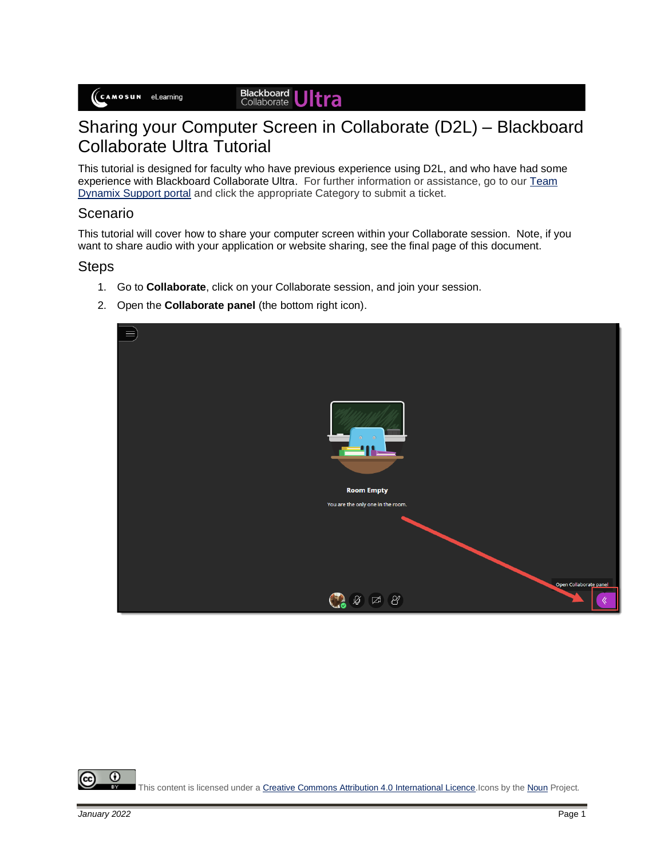## Sharing your Computer Screen in Collaborate (D2L) – Blackboard Collaborate Ultra Tutorial

This tutorial is designed for faculty who have previous experience using D2L, and who have had some experience with Blackboard Collaborate Ultra. For further information or assistance, go to our Team [Dynamix Support portal](https://camosun.teamdynamix.com/TDClient/67/Portal/Requests/ServiceCatalog?CategoryID=523) and click the appropriate Category to submit a ticket.

## Scenario

This tutorial will cover how to share your computer screen within your Collaborate session. Note, if you want to share audio with your application or website sharing, see the final page of this document.

## **Steps**

- 1. Go to **Collaborate**, click on your Collaborate session, and join your session.
- 2. Open the **Collaborate panel** (the bottom right icon).



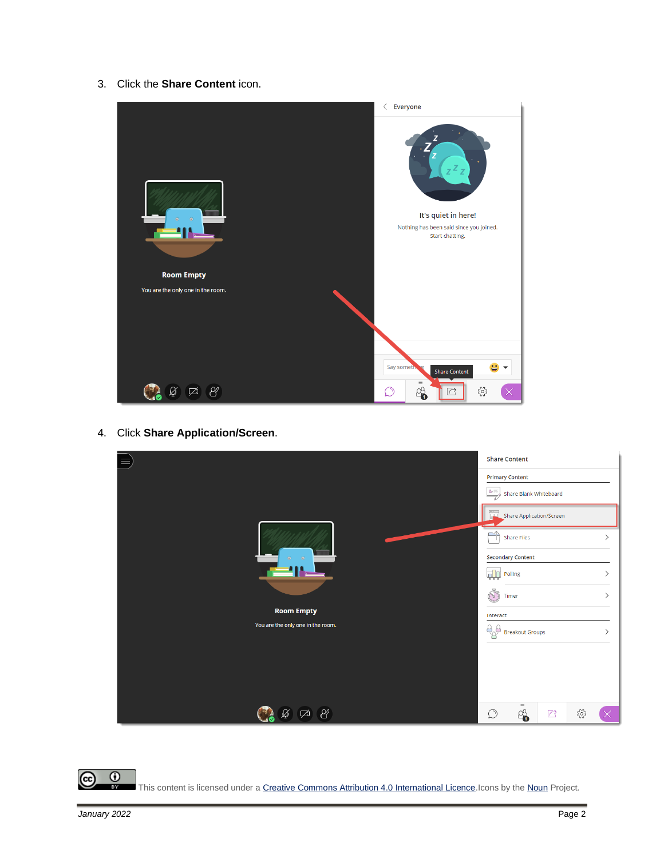3. Click the **Share Content** icon.



4. Click **Share Application/Screen**.

|                                   |                                                                                                                                                                                                                                                                                                                                                                                                               | <b>Share Content</b>                                                                                                                              |                         |     |   |
|-----------------------------------|---------------------------------------------------------------------------------------------------------------------------------------------------------------------------------------------------------------------------------------------------------------------------------------------------------------------------------------------------------------------------------------------------------------|---------------------------------------------------------------------------------------------------------------------------------------------------|-------------------------|-----|---|
|                                   |                                                                                                                                                                                                                                                                                                                                                                                                               | <b>Primary Content</b><br>$\begin{tabular}{ c c } \hline $\circ\equiv$ & \multicolumn{3}{ c }{\small\text{Share Blank Whiteboard}} \end{tabular}$ |                         |     |   |
|                                   |                                                                                                                                                                                                                                                                                                                                                                                                               | Share Application/Screen                                                                                                                          |                         |     |   |
|                                   | পী                                                                                                                                                                                                                                                                                                                                                                                                            | <b>Share Files</b>                                                                                                                                |                         |     | ↘ |
| $\odot$<br>$\bullet$              | $\overline{\mathbf{h}}$<br>$\begin{array}{c c c c c} \hline \rule{0pt}{2.5ex} & \rule{0pt}{2.5ex} & \rule{0pt}{2.5ex} & \rule{0pt}{2.5ex} & \rule{0pt}{2.5ex} & \rule{0pt}{2.5ex} & \rule{0pt}{2.5ex} & \rule{0pt}{2.5ex} & \rule{0pt}{2.5ex} & \rule{0pt}{2.5ex} & \rule{0pt}{2.5ex} & \rule{0pt}{2.5ex} & \rule{0pt}{2.5ex} & \rule{0pt}{2.5ex} & \rule{0pt}{2.5ex} & \rule{0pt}{2.5ex} & \rule{0pt}{2.5ex$ | <b>Secondary Content</b><br>Polling                                                                                                               |                         |     |   |
| <b>Room Empty</b>                 | B<br>Timer                                                                                                                                                                                                                                                                                                                                                                                                    |                                                                                                                                                   |                         |     |   |
| You are the only one in the room. | Interact<br>$A_{\alpha}^{\beta}$                                                                                                                                                                                                                                                                                                                                                                              | <b>Breakout Groups</b>                                                                                                                            |                         |     |   |
|                                   |                                                                                                                                                                                                                                                                                                                                                                                                               |                                                                                                                                                   |                         |     |   |
|                                   |                                                                                                                                                                                                                                                                                                                                                                                                               |                                                                                                                                                   |                         |     |   |
| $\beta$<br>☑                      | $\circlearrowright$                                                                                                                                                                                                                                                                                                                                                                                           | $=$<br>8                                                                                                                                          | $\overline{\mathbb{C}}$ | ద్ర |   |

 $\frac{0}{x}$ (cc) This content is licensed under [a Creative Commons Attribution 4.0 International Licence.I](https://creativecommons.org/licenses/by/4.0/)cons by th[e Noun](https://creativecommons.org/website-icons/) Project.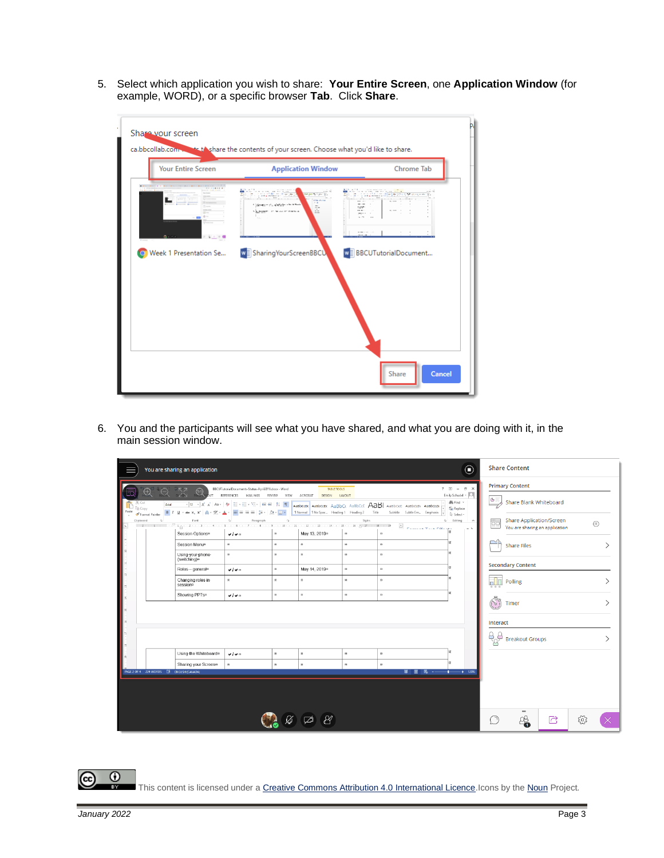5. Select which application you wish to share: **Your Entire Screen**, one **Application Window** (for example, WORD), or a specific browser **Tab**. Click **Share**.

| <b>Your Entire Screen</b>                                                                                                                                                  | <b>Application Window</b>                                                                                                                                  | <b>Chrome Tab</b>                                                                                                          |
|----------------------------------------------------------------------------------------------------------------------------------------------------------------------------|------------------------------------------------------------------------------------------------------------------------------------------------------------|----------------------------------------------------------------------------------------------------------------------------|
| The contract of the state of the contract of the state of the contract $\mathcal{L}^{\text{max}}_{\text{max}}$ , and $\mathcal{L}^{\text{max}}_{\text{max}}$<br>$\Delta$ = | <u> Singara</u><br>الثوابيرة والمرضع<br>$-1.1$<br>form and so<br>" Constitution of the first section to the<br>$\Xi$ .<br>÷.<br>Company of Moscott Persons | in bernaman<br>99 P<br>number.<br>$\cdots$<br>agreement of<br>$-$<br><b>MAGES</b><br>$\sim$<br><b>CONTRACTOR</b><br>ere en |
| Week 1 Presentation Se                                                                                                                                                     | w Sharing Your Screen BBCU                                                                                                                                 | WE BBCUTutorialDocument                                                                                                    |

6. You and the participants will see what you have shared, and what you are doing with it, in the main session window.

|                                                 | You are sharing an application                                                                                  |                                                                                                                                    |                                                                        |                                                               |                                                                         |                                                                                                                                                                                                      | $\odot$                                                                                                                            | <b>Share Content</b>        |                                              |                                                            |     |                |
|-------------------------------------------------|-----------------------------------------------------------------------------------------------------------------|------------------------------------------------------------------------------------------------------------------------------------|------------------------------------------------------------------------|---------------------------------------------------------------|-------------------------------------------------------------------------|------------------------------------------------------------------------------------------------------------------------------------------------------------------------------------------------------|------------------------------------------------------------------------------------------------------------------------------------|-----------------------------|----------------------------------------------|------------------------------------------------------------|-----|----------------|
| $\bigoplus$<br>X Cut<br><b>En</b> Copy<br>laste | יקאי<br>אי<br>$\mathbb{R}$<br>$\Theta^-$<br>Session-Options¤<br>Session Menu¤                                   | BBCUTutorialDocuments-Status-April2019.docx - Word<br>REFERENCES MAILINGS REVIEW VIEW ACROBAT DESIGN LAVOUT<br>$v/v =$<br>$\alpha$ | $\scriptstyle\rm II$<br>$\alpha$                                       | TABLE TOOLS<br>May-13.-2019¤<br>$\mathbf{z}$                  | $\pi$<br>$\alpha$                                                       | Arial $- 2 $ $\lambda$ $\lambda$ a $\rightarrow$ $ 3a -  3b $ $\equiv$ $\pm$ $\pm$ $\pm$ $\equiv$ $ 1 \pm 1 $ <b>4 ARBOCOX</b> ARBOCOX ARBOCC ARBOCC ARBOCCOX ARBOCCOX ARBOCCOX<br>$\pi$<br>$\alpha$ | $7 \times -6 \times$<br>Emily Schudel v J<br>di Find +<br>$\frac{ab}{abc}$ Replace<br>₿ Select *<br>G Editing A<br>$\sim$ $\Delta$ | <b>Primary Content</b><br>Ë | Share Blank Whiteboard<br><b>Share Files</b> | Share Application/Screen<br>You are sharing an application |     | $\circledcirc$ |
|                                                 | Using your phone<br>(switching) <sup>a</sup><br>Roles-general¤<br>Changing roles in<br>session<br>Showing-PPTsn | $\alpha$<br>V<br>$\alpha$<br>$v/v =$                                                                                               | $\alpha$<br>$\overline{\mathtt{m}}$<br>$\alpha$<br>$\overline{\bf{m}}$ | $\mathbf{m}$<br>May 14, 2019¤<br>$\mathbf{n}$<br>$\mathbf{m}$ | $\overline{\mathbf{M}}$<br>$\mathbf{m}$<br>$\mathbf{m}$<br>$\mathbf{m}$ | $\alpha$<br>$\,$ $\,$<br>$\alpha$<br>$\,$ $\,$                                                                                                                                                       |                                                                                                                                    | <b>Reference</b> Polling    | <b>Secondary Content</b>                     |                                                            |     |                |
|                                                 |                                                                                                                 |                                                                                                                                    |                                                                        |                                                               |                                                                         |                                                                                                                                                                                                      |                                                                                                                                    | Ò<br>Interact               | Timer<br>Breakout Groups                     |                                                            |     |                |
| PAGE 2 OF 4 224 WORDS LE ENGLISH (CANADA)       | Using the Whiteboard=<br>Sharing your Screen¤                                                                   | 4140<br>$\alpha$                                                                                                                   | $\mathbf{u}$<br>$\Omega$                                               | $\mathbf{u}$<br>$\mathbf{z}$                                  | $\mathbf{u}$<br>$\alpha$                                                | $\alpha$<br>$\alpha$                                                                                                                                                                                 | 第 日 民 - + 120%                                                                                                                     |                             |                                              |                                                            |     |                |
|                                                 |                                                                                                                 |                                                                                                                                    |                                                                        |                                                               |                                                                         |                                                                                                                                                                                                      |                                                                                                                                    |                             | $=$<br>8                                     | 放                                                          | १०, |                |

This content is licensed under a Creative Commons Attribution 4.0 International Licence. Icons by th[e Noun](https://creativecommons.org/website-icons/) Project.

(cc)

 $\odot$ 

ī3Y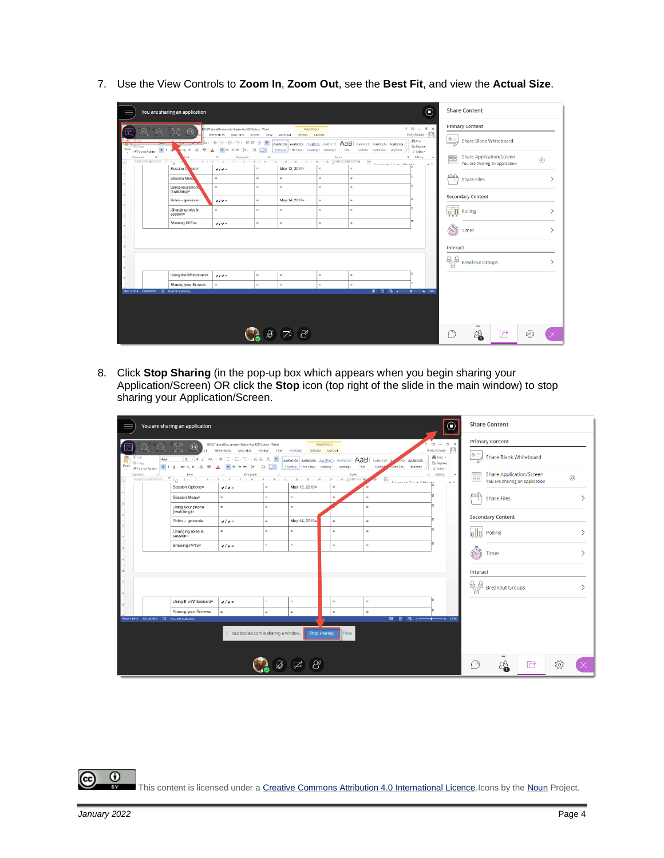7. Use the View Controls to **Zoom In**, **Zoom Out**, see the **Best Fit**, and view the **Actual Size**.

|               |                                          | You are sharing an application               |                                                                                                                                                                                                                                                                                                                                                                                                                                                                                                                                                                 |                          |                                        |              |                                                                                                                          | $_{\textstyle\odot}$                                                | <b>Share Content</b>       |                          |                                 |    |                |
|---------------|------------------------------------------|----------------------------------------------|-----------------------------------------------------------------------------------------------------------------------------------------------------------------------------------------------------------------------------------------------------------------------------------------------------------------------------------------------------------------------------------------------------------------------------------------------------------------------------------------------------------------------------------------------------------------|--------------------------|----------------------------------------|--------------|--------------------------------------------------------------------------------------------------------------------------|---------------------------------------------------------------------|----------------------------|--------------------------|---------------------------------|----|----------------|
|               | $\bigoplus$<br>Θ                         | - 152<br>- KN<br>(1)                         | BBCUTutorialDocuments-Status-April2019.docx - Word<br>REFERENCES<br>MAILINGS                                                                                                                                                                                                                                                                                                                                                                                                                                                                                    | REVIEW                   | TABLE TOOLS<br>VIEW ACROBAT<br>DESIGN  | LAVOUT       |                                                                                                                          | $? \quad \Box - \quad \Box$ $\times$<br>Emily Schudel v   O         |                            | <b>Primary Content</b>   |                                 |    |                |
| Copy<br>Paste | $B$ $I$ $U$<br>S Format Painter          |                                              | <del>karal</del> As- ♦ E-E-E-S- ee al 11 T<br>$\mathbf{x}_1 \times \mathbf{1} \otimes \cdots \otimes \mathbf{1} \times \mathbf{1} \times \mathbf{1} \times \mathbf{1} \times \mathbf{1} \times \mathbf{1} \times \mathbf{1} \times \mathbf{1} \times \mathbf{1} \times \mathbf{1} \times \mathbf{1} \times \mathbf{1} \times \mathbf{1} \times \mathbf{1} \times \mathbf{1} \times \mathbf{1} \times \mathbf{1} \times \mathbf{1} \times \mathbf{1} \times \mathbf{1} \times \mathbf{1} \times \mathbf{1} \times \mathbf{1} \times \mathbf{1} \times \mathbf{1$ |                          | 1 Normal 1 No Spac Heading 1 Heading 2 | Title        | ABBOCOC ABBOCOX ABBOCC ABBOCCE AAB ABBOCCE ABBOCCE ABBOCCE<br>Subtitle Subtle Em Emphasis $\left \overline{\psi}\right $ | M Find +<br>$\xi_{\rm AC}^{\rm D}$ Replace<br>$\mathbb{Q}$ Select - | $G =$                      | Share Blank Whiteboard   |                                 |    |                |
| Clipboard     | $\sim$<br>$-2-1-1$ $-74$                 |                                              | Paragraph<br>$\mathbf{3} \times \mathbf{1} + \mathbf{4} \times \mathbf{1} + \mathbf{5} \times \mathbf{1} + \mathbf{6} \times \mathbf{1} + \mathbf{7} \times \mathbf{1} + \mathbf{8} \times \mathbf{1} + \mathbf{9} \times \mathbf{1} + \mathbf{10} \times \mathbf{1} + \mathbf{11} \times \mathbf{1} + \mathbf{12} \times \mathbf{1} + \mathbf{10} \times \mathbf{1} + \mathbf{15} \times \mathbf{1} + \mathbf{10} \times \mathbf{1} + \mathbf{10} \times \mathbf{1} + \mathbf$                                                                                 | $\mathcal{C}_\mathbf{d}$ |                                        | Styles       | $\boxed{\bullet}$                                                                                                        | G Editing<br>$\scriptstyle\wedge$                                   | Ë                          |                          | <b>Share Application/Screen</b> |    | $\circledcirc$ |
|               |                                          | Session On ons¤                              | $\vee$ / $\vee$ =                                                                                                                                                                                                                                                                                                                                                                                                                                                                                                                                               | $_{\rm Z}$               | May 13, 2019 <sup>a</sup>              | $_{\rm R}$   | $rac{1}{\sqrt{n}}$<br>$\alpha$                                                                                           | $\sim$ $\Delta$                                                     |                            |                          | You are sharing an application  |    |                |
|               |                                          | Session Menu                                 | $\alpha$                                                                                                                                                                                                                                                                                                                                                                                                                                                                                                                                                        | $\alpha$                 | $\mathbf{u}$                           | $\mathbf{z}$ | $\alpha$                                                                                                                 |                                                                     |                            | <b>Share Files</b>       |                                 |    |                |
| H             |                                          | Using your phone<br>(switching) <sup>a</sup> | $\alpha$                                                                                                                                                                                                                                                                                                                                                                                                                                                                                                                                                        | $\alpha$                 | $\mathbf{a}$                           | $\alpha$     | $\alpha$                                                                                                                 |                                                                     |                            |                          |                                 |    |                |
|               |                                          | Roles-general»                               | 4140                                                                                                                                                                                                                                                                                                                                                                                                                                                                                                                                                            | $_{\rm II}$              | May-14, 2019 <sup>a</sup>              | $\mathbf{u}$ | $\alpha$                                                                                                                 |                                                                     |                            | <b>Secondary Content</b> |                                 |    |                |
| $\sim$        |                                          | Changing roles in<br>sessionn                | $\alpha$                                                                                                                                                                                                                                                                                                                                                                                                                                                                                                                                                        | $\alpha$                 | $\alpha$                               | $\alpha$     | $\alpha$                                                                                                                 |                                                                     | $\frac{1}{2}$              | Polling                  |                                 |    |                |
|               |                                          | Showing-PPTsn                                | $v/v =$                                                                                                                                                                                                                                                                                                                                                                                                                                                                                                                                                         | $\scriptstyle\rm II$     | $\scriptstyle\rm II$                   | $\alpha$     | $\alpha$                                                                                                                 |                                                                     |                            |                          |                                 |    |                |
| 监             |                                          |                                              |                                                                                                                                                                                                                                                                                                                                                                                                                                                                                                                                                                 |                          |                                        |              |                                                                                                                          |                                                                     | Col                        | Timer                    |                                 |    |                |
| s.            |                                          |                                              |                                                                                                                                                                                                                                                                                                                                                                                                                                                                                                                                                                 |                          |                                        |              |                                                                                                                          |                                                                     | Interact                   |                          |                                 |    |                |
|               |                                          |                                              |                                                                                                                                                                                                                                                                                                                                                                                                                                                                                                                                                                 |                          |                                        |              |                                                                                                                          |                                                                     | $\mathcal{B}^{\mathbf{B}}$ | <b>Breakout Groups</b>   |                                 |    |                |
|               |                                          |                                              |                                                                                                                                                                                                                                                                                                                                                                                                                                                                                                                                                                 |                          |                                        |              |                                                                                                                          |                                                                     |                            |                          |                                 |    |                |
|               |                                          | Using the Whiteboard®                        | $v/v =$                                                                                                                                                                                                                                                                                                                                                                                                                                                                                                                                                         | $\mathbf{a}$             | $\,$                                   | $\alpha$     | $\alpha$                                                                                                                 |                                                                     |                            |                          |                                 |    |                |
|               | PAGE 2 OF 4 224 WORDS ES ENGUSH (CANADA) | Sharing your Screen¤                         | $\alpha$                                                                                                                                                                                                                                                                                                                                                                                                                                                                                                                                                        | $\mathbf{R}$             | $\alpha$                               | $\mathbf{z}$ | $\alpha$                                                                                                                 |                                                                     |                            |                          |                                 |    |                |
|               |                                          |                                              |                                                                                                                                                                                                                                                                                                                                                                                                                                                                                                                                                                 |                          |                                        |              |                                                                                                                          |                                                                     |                            |                          |                                 |    |                |
|               |                                          |                                              |                                                                                                                                                                                                                                                                                                                                                                                                                                                                                                                                                                 |                          |                                        |              |                                                                                                                          |                                                                     |                            |                          |                                 |    |                |
|               |                                          |                                              |                                                                                                                                                                                                                                                                                                                                                                                                                                                                                                                                                                 |                          |                                        |              |                                                                                                                          |                                                                     |                            |                          |                                 |    |                |
|               |                                          |                                              |                                                                                                                                                                                                                                                                                                                                                                                                                                                                                                                                                                 |                          |                                        |              |                                                                                                                          |                                                                     |                            |                          |                                 |    |                |
|               |                                          |                                              |                                                                                                                                                                                                                                                                                                                                                                                                                                                                                                                                                                 |                          |                                        |              |                                                                                                                          |                                                                     |                            | $=$<br>8                 | 尼                               | සූ |                |

8. Click **Stop Sharing** (in the pop-up box which appears when you begin sharing your Application/Screen) OR click the **Stop** icon (top right of the slide in the main window) to stop sharing your Application/Screen.

|                                                            | You are sharing an application                                                                                                                                                                                                                                                                                                                                                                                                                                                     |                                                                                                                                                                                                                                     |                          |                                      |                             |                                                                                                                                                                                          | $\odot$                                             | <b>Share Content</b>             |                                                            |                |
|------------------------------------------------------------|------------------------------------------------------------------------------------------------------------------------------------------------------------------------------------------------------------------------------------------------------------------------------------------------------------------------------------------------------------------------------------------------------------------------------------------------------------------------------------|-------------------------------------------------------------------------------------------------------------------------------------------------------------------------------------------------------------------------------------|--------------------------|--------------------------------------|-----------------------------|------------------------------------------------------------------------------------------------------------------------------------------------------------------------------------------|-----------------------------------------------------|----------------------------------|------------------------------------------------------------|----------------|
| $\bigoplus$                                                | <b>EXAMPLE TO A BECUT ACT ADD</b> BECUT ACT ADDITION AND THE RESERVED OF THE RESERVED OF THE RESERVED OF THE RESERVED OF THE RESERVED OF THE RESERVED OF THE RESERVED OF THE RESERVED OF THE RESERVED OF THE RESERVED OF THE RESERV                                                                                                                                                                                                                                                |                                                                                                                                                                                                                                     |                          |                                      |                             |                                                                                                                                                                                          | $\overline{x} - \overline{z}$<br>Emily Schudel + 0  | <b>Primary Content</b>           |                                                            |                |
| X Cut<br>Arial<br><b>R</b> Copy<br>Paste<br>Format Painter | B I U - ae x, x'   A - 文 - A -   三 三 三 三   2 -   A - 正 -                                                                                                                                                                                                                                                                                                                                                                                                                           | $\overline{\cdot}$ 12 $\overline{\cdot}$ A' A' Aa $\cdot$ $\overline{\cdot}$ E $\cdot$ E $\cdot$ 'E $\cdot$ 'E $\cdot$ E $\overline{\cdot}$   E $\overline{\cdot}$   T   AABbCCDx   AaBbCcDx AaBbCc AaBbCcC $\overline{AB}$ AaBbCcC |                          | TNormal TNo Spac Heading 1 Heading 2 |                             | CCD <sub>K</sub> AaBbCcD<br>Title<br>subtle Em Emphasis<br>Subtitla                                                                                                                      | Mk Find Y<br>C <sub>ac</sub> Replace<br>D: Select - |                                  | Share Blank Whiteboard                                     |                |
| Clipboard                                                  | Font<br>$\cdots 2 \cdot \cdots 1 \cdot \cdots \cdot \stackrel{1}{\sim} 1_{\bigtriangleup} \cdots 2 \cdot \cdots 3 \cdot \cdots 4 \cdot \cdots 5 \cdot \cdots 5 \cdot \cdots 7 \cdot \cdots 8 \cdot \cdots 9 \cdot \cdots 10 \cdot \cdots 11 \cdot \cdots 21 \cdot \cdots 10 \cdot \cdots 10 \cdot \cdots 10 \cdot \cdots 10 \cdot \cdots 11 \cdot \cdots 11 \cdot \cdots 11 \cdot \cdots 11 \cdot \cdots 11 \cdot \cdots 11 \cdot \cdots 11 \cdot \cdots 11 \cdot \cdots 11 \cdot$ | $\Gamma_{\rm H}$<br>Paragraph                                                                                                                                                                                                       | $\mathbb{R}$             |                                      |                             | Styles<br>$\hat{\phantom{a}}$<br>$\label{eq:10} \begin{array}{l} \displaystyle \sigma_{\text{max,obs}} \leftarrow \cdots \leftarrow \sigma_{\text{max}} \sigma_{\text{max}} \end{array}$ | G Editing<br>$\hat{\phantom{a}}$<br>$-1$            | Ë                                | Share Application/Screen<br>You are sharing an application | $\circledcirc$ |
|                                                            | Session-Options¤                                                                                                                                                                                                                                                                                                                                                                                                                                                                   | $v/v =$                                                                                                                                                                                                                             | $\,$ $\,$                | May-13, 2019¤                        | $_{\rm H}$                  |                                                                                                                                                                                          |                                                     |                                  |                                                            |                |
|                                                            | Session Menu <sup>o</sup>                                                                                                                                                                                                                                                                                                                                                                                                                                                          | $\alpha$                                                                                                                                                                                                                            | $\alpha$                 | $\Omega$                             | $\alpha$                    | $\alpha$                                                                                                                                                                                 |                                                     | <b>Share Files</b>               |                                                            |                |
|                                                            | Using your phone<br>(switching) <sup>a</sup>                                                                                                                                                                                                                                                                                                                                                                                                                                       | $\alpha$                                                                                                                                                                                                                            | $\alpha$                 | $\Omega$                             |                             | $\alpha$                                                                                                                                                                                 |                                                     |                                  |                                                            |                |
|                                                            | Roles-general¤                                                                                                                                                                                                                                                                                                                                                                                                                                                                     | $\sqrt{2}$                                                                                                                                                                                                                          | $\mathbf{u}$             | May 14, 2019a                        | $_{\rm{zz}}$                | $\,$ $\,$                                                                                                                                                                                |                                                     | <b>Secondary Content</b>         |                                                            |                |
|                                                            | Changing roles in<br>session                                                                                                                                                                                                                                                                                                                                                                                                                                                       | $\alpha$                                                                                                                                                                                                                            | $\alpha$                 | $\Omega$                             | $^{32}$                     | $\alpha$                                                                                                                                                                                 |                                                     | <b>Polling</b><br>Polling        |                                                            |                |
|                                                            | Showing-PPTsn                                                                                                                                                                                                                                                                                                                                                                                                                                                                      | v/v                                                                                                                                                                                                                                 | $\mathbf{m}$             | $\,$ $\,$                            | $\mathbf{m}$                | $\,$ $\,$                                                                                                                                                                                |                                                     | $\widehat{\mathcal{N}}$<br>Timer |                                                            |                |
|                                                            |                                                                                                                                                                                                                                                                                                                                                                                                                                                                                    |                                                                                                                                                                                                                                     |                          |                                      |                             |                                                                                                                                                                                          |                                                     |                                  |                                                            |                |
|                                                            |                                                                                                                                                                                                                                                                                                                                                                                                                                                                                    |                                                                                                                                                                                                                                     |                          |                                      |                             |                                                                                                                                                                                          |                                                     | Interact                         |                                                            |                |
|                                                            |                                                                                                                                                                                                                                                                                                                                                                                                                                                                                    |                                                                                                                                                                                                                                     |                          |                                      |                             |                                                                                                                                                                                          |                                                     | $A_{\alpha}^{\beta}$             | <b>Breakout Groups</b>                                     |                |
|                                                            | Using the Whiteboard=                                                                                                                                                                                                                                                                                                                                                                                                                                                              | $v/v =$                                                                                                                                                                                                                             | $\overline{\phantom{a}}$ | $\,$ $\,$                            | $\mathbf{z}$                | $\alpha$                                                                                                                                                                                 |                                                     |                                  |                                                            |                |
|                                                            | Sharing your Screen¤                                                                                                                                                                                                                                                                                                                                                                                                                                                               | $\alpha$                                                                                                                                                                                                                            | $\alpha$                 | $\mathbf{u}$                         | $\mathbf{z}$                | $\alpha$                                                                                                                                                                                 |                                                     |                                  |                                                            |                |
| PAGE 2 OF 4 224 WORDS [ B ENGLISH (CANADA)                 |                                                                                                                                                                                                                                                                                                                                                                                                                                                                                    |                                                                                                                                                                                                                                     |                          |                                      |                             | 目<br>闘<br>昆                                                                                                                                                                              | $+ 120%$<br>$\sim$ $-$                              |                                  |                                                            |                |
|                                                            |                                                                                                                                                                                                                                                                                                                                                                                                                                                                                    | ca.bbcollab.com is sharing a window.                                                                                                                                                                                                |                          |                                      | Hide<br><b>Stop sharing</b> |                                                                                                                                                                                          |                                                     |                                  |                                                            |                |
|                                                            |                                                                                                                                                                                                                                                                                                                                                                                                                                                                                    |                                                                                                                                                                                                                                     |                          |                                      |                             |                                                                                                                                                                                          |                                                     |                                  |                                                            |                |
|                                                            |                                                                                                                                                                                                                                                                                                                                                                                                                                                                                    |                                                                                                                                                                                                                                     |                          | ₩<br>☑                               |                             |                                                                                                                                                                                          |                                                     |                                  | $=$<br>ු<br>內                                              | Č              |

 $\odot$ (cc) ī3Y This content is licensed under a Creative Commons Attribution 4.0 International Licence. Icons by th[e Noun](https://creativecommons.org/website-icons/) Project.